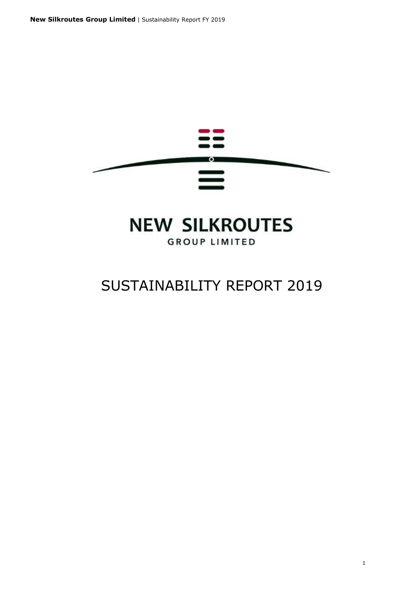

## **NEW SILKROUTES GROUP LIMITED**

## SUSTAINABILITY REPORT 2019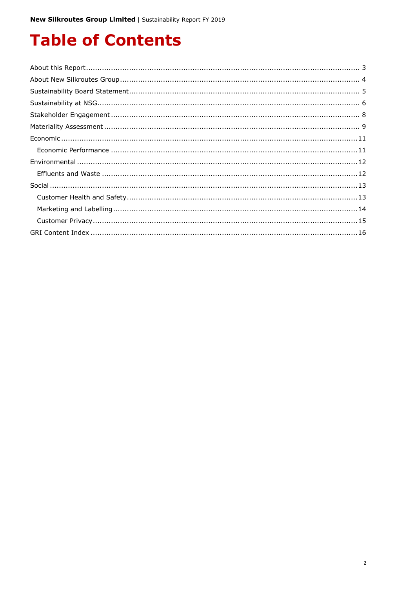# **Table of Contents**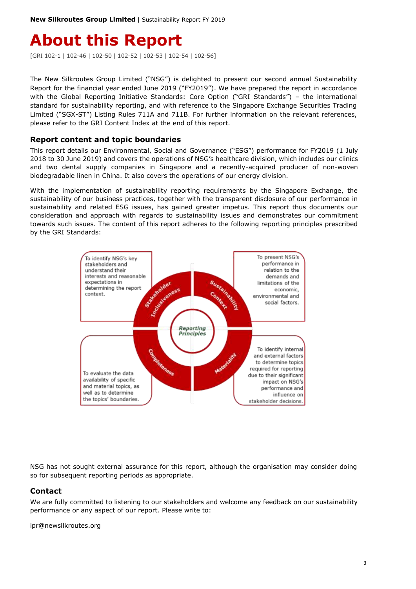## <span id="page-2-0"></span>**About this Report**

[GRI 102-1 | 102-46 | 102-50 | 102-52 | 102-53 | 102-54 | 102-56]

The New Silkroutes Group Limited ("NSG") is delighted to present our second annual Sustainability Report for the financial year ended June 2019 ("FY2019"). We have prepared the report in accordance with the Global Reporting Initiative Standards: Core Option ("GRI Standards") – the international standard for sustainability reporting, and with reference to the Singapore Exchange Securities Trading Limited ("SGX-ST") Listing Rules 711A and 711B. For further information on the relevant references, please refer to the GRI Content Index at the end of this report.

#### **Report content and topic boundaries**

This report details our Environmental, Social and Governance ("ESG") performance for FY2019 (1 July 2018 to 30 June 2019) and covers the operations of NSG's healthcare division, which includes our clinics and two dental supply companies in Singapore and a recently-acquired producer of non-woven biodegradable linen in China. It also covers the operations of our energy division.

With the implementation of sustainability reporting requirements by the Singapore Exchange, the sustainability of our business practices, together with the transparent disclosure of our performance in sustainability and related ESG issues, has gained greater impetus. This report thus documents our consideration and approach with regards to sustainability issues and demonstrates our commitment towards such issues. The content of this report adheres to the following reporting principles prescribed by the GRI Standards:



NSG has not sought external assurance for this report, although the organisation may consider doing so for subsequent reporting periods as appropriate.

### **Contact**

We are fully committed to listening to our stakeholders and welcome any feedback on our sustainability performance or any aspect of our report. Please write to:

ipr@newsilkroutes.org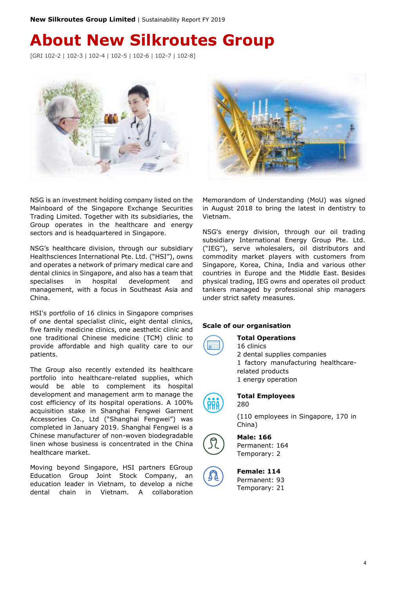## <span id="page-3-0"></span>**About New Silkroutes Group**

[GRI 102-2 | 102-3 | 102-4 | 102-5 | 102-6 | 102-7 | 102-8]



NSG is an investment holding company listed on the Mainboard of the Singapore Exchange Securities Trading Limited. Together with its subsidiaries, the Group operates in the healthcare and energy sectors and is headquartered in Singapore.

NSG's healthcare division, through our subsidiary Healthsciences International Pte. Ltd. ("HSI"), owns and operates a network of primary medical care and dental clinics in Singapore, and also has a team that specialises in hospital development and management, with a focus in Southeast Asia and China.

HSI's portfolio of 16 clinics in Singapore comprises of one dental specialist clinic, eight dental clinics, five family medicine clinics, one aesthetic clinic and one traditional Chinese medicine (TCM) clinic to provide affordable and high quality care to our patients.

The Group also recently extended its healthcare portfolio into healthcare-related supplies, which would be able to complement its hospital development and management arm to manage the cost efficiency of its hospital operations. A 100% acquisition stake in Shanghai Fengwei Garment Accessories Co., Ltd ("Shanghai Fengwei") was completed in January 2019. Shanghai Fengwei is a Chinese manufacturer of non-woven biodegradable linen whose business is concentrated in the China healthcare market.

Moving beyond Singapore, HSI partners EGroup Education Group Joint Stock Company, an education leader in Vietnam, to develop a niche dental chain in Vietnam. A collaboration



Memorandom of Understanding (MoU) was signed in August 2018 to bring the latest in dentistry to Vietnam.

NSG's energy division, through our oil trading subsidiary International Energy Group Pte. Ltd. ("IEG"), serve wholesalers, oil distributors and commodity market players with customers from Singapore, Korea, China, India and various other countries in Europe and the Middle East. Besides physical trading, IEG owns and operates oil product tankers managed by professional ship managers under strict safety measures.

#### **Scale of our organisation**

#### **Total Operations**

16 clinics 2 dental supplies companies 1 factory manufacturing healthcarerelated products 1 energy operation



## **Total Employees**

280

(110 employees in Singapore, 170 in China)



#### **Male: 166** Permanent: 164

Temporary: 2



#### **Female: 114** Permanent: 93

Temporary: 21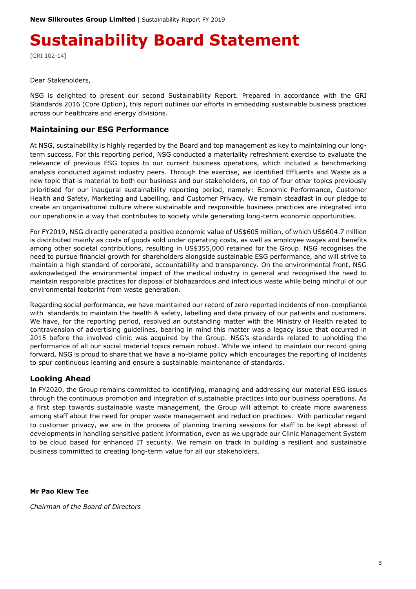# <span id="page-4-0"></span>**Sustainability Board Statement**

[GRI 102-14]

Dear Stakeholders,

NSG is delighted to present our second Sustainability Report. Prepared in accordance with the GRI Standards 2016 (Core Option), this report outlines our efforts in embedding sustainable business practices across our healthcare and energy divisions.

### **Maintaining our ESG Performance**

At NSG, sustainability is highly regarded by the Board and top management as key to maintaining our longterm success. For this reporting period, NSG conducted a materiality refreshment exercise to evaluate the relevance of previous ESG topics to our current business operations, which included a benchmarking analysis conducted against industry peers. Through the exercise, we identified Effluents and Waste as a new topic that is material to both our business and our stakeholders, on top of four other topics previously prioritised for our inaugural sustainability reporting period, namely: Economic Performance, Customer Health and Safety, Marketing and Labelling, and Customer Privacy. We remain steadfast in our pledge to create an organisational culture where sustainable and responsible business practices are integrated into our operations in a way that contributes to society while generating long-term economic opportunities.

For FY2019, NSG directly generated a positive economic value of US\$605 million, of which US\$604.7 million is distributed mainly as costs of goods sold under operating costs, as well as employee wages and benefits among other societal contributions, resulting in US\$355,000 retained for the Group. NSG recognises the need to pursue financial growth for shareholders alongside sustainable ESG performance, and will strive to maintain a high standard of corporate, accountability and transparency. On the environmental front, NSG awknowledged the environmental impact of the medical industry in general and recognised the need to maintain responsible practices for disposal of biohazardous and infectious waste while being mindful of our environmental footprint from waste generation.

Regarding social performance, we have maintained our record of zero reported incidents of non-compliance with standards to maintain the health & safety, labelling and data privacy of our patients and customers. We have, for the reporting period, resolved an outstanding matter with the Ministry of Health related to contravension of advertising guidelines, bearing in mind this matter was a legacy issue that occurred in 2015 before the involved clinic was acquired by the Group. NSG's standards related to upholding the performance of all our social material topics remain robust. While we intend to maintain our record going forward, NSG is proud to share that we have a no-blame policy which encourages the reporting of incidents to spur continuous learning and ensure a sustainable maintenance of standards.

### **Looking Ahead**

In FY2020, the Group remains committed to identifying, managing and addressing our material ESG issues through the continuous promotion and integration of sustainable practices into our business operations. As a first step towards sustainable waste management, the Group will attempt to create more awareness among staff about the need for proper waste management and reduction practices. With particular regard to customer privacy, we are in the process of planning training sessions for staff to be kept abreast of developments in handling sensitive patient information, even as we upgrade our Clinic Management System to be cloud based for enhanced IT security. We remain on track in building a resilient and sustainable business committed to creating long-term value for all our stakeholders.

**Mr Pao Kiew Tee**

*Chairman of the Board of Directors*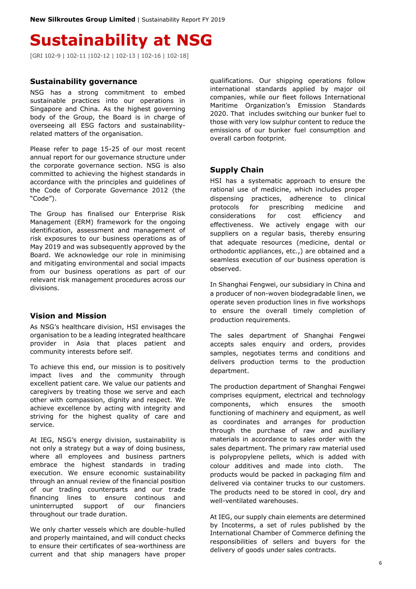## <span id="page-5-0"></span>**Sustainability at NSG**

[GRI 102-9 | 102-11 |102-12 | 102-13 | 102-16 | 102-18]

#### **Sustainability governance**

NSG has a strong commitment to embed sustainable practices into our operations in Singapore and China. As the highest governing body of the Group, the Board is in charge of overseeing all ESG factors and sustainabilityrelated matters of the organisation.

Please refer to page 15-25 of our most recent annual report for our governance structure under the corporate governance section. NSG is also committed to achieving the highest standards in accordance with the principles and guidelines of the Code of Corporate Governance 2012 (the "Code").

The Group has finalised our Enterprise Risk Management (ERM) framework for the ongoing identification, assessment and management of risk exposures to our business operations as of May 2019 and was subsequently approved by the Board. We acknowledge our role in minimising and mitigating environmental and social impacts from our business operations as part of our relevant risk management procedures across our divisions.

#### **Vision and Mission**

As NSG's healthcare division, HSI envisages the organisation to be a leading integrated healthcare provider in Asia that places patient and community interests before self.

To achieve this end, our mission is to positively impact lives and the community through excellent patient care. We value our patients and caregivers by treating those we serve and each other with compassion, dignity and respect. We achieve excellence by acting with integrity and striving for the highest quality of care and service.

At IEG, NSG's energy division, sustainability is not only a strategy but a way of doing business, where all employees and business partners embrace the highest standards in trading execution. We ensure economic sustainability through an annual review of the financial position of our trading counterparts and our trade financing lines to ensure continous and uninterrupted support of our financiers throughout our trade duration.

We only charter vessels which are double-hulled and properly maintained, and will conduct checks to ensure their certificates of sea-worthiness are current and that ship managers have proper

qualifications. Our shipping operations follow international standards applied by major oil companies, while our fleet follows International Maritime Organization's Emission Standards 2020. That includes switching our bunker fuel to those with very low sulphur content to reduce the emissions of our bunker fuel consumption and overall carbon footprint.

#### **Supply Chain**

HSI has a systematic approach to ensure the rational use of medicine, which includes proper dispensing practices, adherence to clinical protocols for prescribing medicine and considerations for cost efficiency and effectiveness. We actively engage with our suppliers on a regular basis, thereby ensuring that adequate resources (medicine, dental or orthodontic appliances, etc.,) are obtained and a seamless execution of our business operation is observed.

In Shanghai Fengwei, our subsidiary in China and a producer of non-woven biodegradable linen, we operate seven production lines in five workshops to ensure the overall timely completion of production requirements.

The sales department of Shanghai Fengwei accepts sales enquiry and orders, provides samples, negotiates terms and conditions and delivers production terms to the production department.

The production department of Shanghai Fengwei comprises equipment, electrical and technology components, which ensures the smooth functioning of machinery and equipment, as well as coordinates and arranges for production through the purchase of raw and auxiliary materials in accordance to sales order with the sales department. The primary raw material used is polypropylene pellets, which is added with colour additives and made into cloth. The products would be packed in packaging film and delivered via container trucks to our customers. The products need to be stored in cool, dry and well-ventilated warehouses.

At IEG, our supply chain elements are determined by Incoterms, a set of rules published by the International Chamber of Commerce defining the responsibilities of sellers and buyers for the delivery of goods under sales contracts.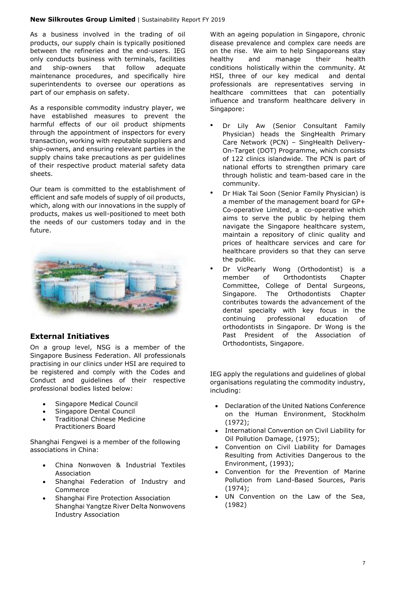As a business involved in the trading of oil products, our supply chain is typically positioned between the refineries and the end-users. IEG only conducts business with terminals, facilities and ship-owners that follow adequate maintenance procedures, and specifically hire superintendents to oversee our operations as part of our emphasis on safety.

As a responsible commodity industry player, we have established measures to prevent the harmful effects of our oil product shipments through the appointment of inspectors for every transaction, working with reputable suppliers and ship-owners, and ensuring relevant parties in the supply chains take precautions as per guidelines of their respective product material safety data sheets.

Our team is committed to the establishment of efficient and safe models of supply of oil products, which, along with our innovations in the supply of products, makes us well-positioned to meet both the needs of our customers today and in the future.



## **External Initiatives**

On a group level, NSG is a member of the Singapore Business Federation. All professionals practising in our clinics under HSI are required to be registered and comply with the Codes and Conduct and guidelines of their respective professional bodies listed below:

- Singapore Medical Council
- Singapore Dental Council
- Traditional Chinese Medicine Practitioners Board

Shanghai Fengwei is a member of the following associations in China:

- China Nonwoven & Industrial Textiles Association
- Shanghai Federation of Industry and Commerce
- Shanghai Fire Protection Association Shanghai Yangtze River Delta Nonwovens Industry Association

With an ageing population in Singapore, chronic disease prevalence and complex care needs are on the rise. We aim to help Singaporeans stay healthy and manage their health conditions holistically within the community. At HSI, three of our key medical and dental professionals are representatives serving in healthcare committees that can potentially influence and transform healthcare delivery in Singapore:

- Dr Lily Aw (Senior Consultant Family Physician) heads the SingHealth Primary Care Network (PCN) – SingHealth Delivery-On-Target (DOT) Programme, which consists of 122 clinics islandwide. The PCN is part of national efforts to strengthen primary care through holistic and team-based care in the community.
- Dr Hiak Tai Soon (Senior Family Physician) is a member of the management board for GP+ Co-operative Limited, a co-operative which aims to serve the public by helping them navigate the Singapore healthcare system, maintain a repository of clinic quality and prices of healthcare services and care for healthcare providers so that they can serve the public.
- Dr VicPearly Wong (Orthodontist) is a member of Orthodontists Chapter Committee, College of Dental Surgeons, Singapore. The Orthodontists Chapter contributes towards the advancement of the dental specialty with key focus in the continuing professional education of orthodontists in Singapore. Dr Wong is the Past President of the Association of Orthodontists, Singapore.

IEG apply the regulations and guidelines of global organisations regulating the commodity industry, including:

- Declaration of the United Nations Conference on the Human Environment, Stockholm (1972);
- International Convention on Civil Liability for Oil Pollution Damage, (1975);
- Convention on Civil Liability for Damages Resulting from Activities Dangerous to the Environment, (1993);
- Convention for the Prevention of Marine Pollution from Land-Based Sources, Paris (1974);
- UN Convention on the Law of the Sea, (1982)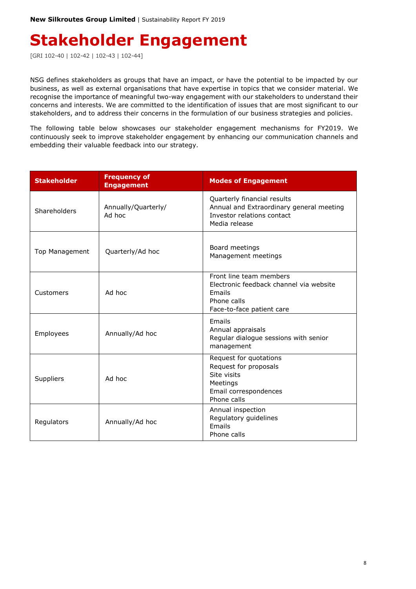## <span id="page-7-0"></span>**Stakeholder Engagement**

[GRI 102-40 | 102-42 | 102-43 | 102-44]

NSG defines stakeholders as groups that have an impact, or have the potential to be impacted by our business, as well as external organisations that have expertise in topics that we consider material. We recognise the importance of meaningful two-way engagement with our stakeholders to understand their concerns and interests. We are committed to the identification of issues that are most significant to our stakeholders, and to address their concerns in the formulation of our business strategies and policies.

The following table below showcases our stakeholder engagement mechanisms for FY2019. We continuously seek to improve stakeholder engagement by enhancing our communication channels and embedding their valuable feedback into our strategy.

| <b>Stakeholder</b>  | <b>Frequency of</b><br><b>Engagement</b> | <b>Modes of Engagement</b>                                                                                               |
|---------------------|------------------------------------------|--------------------------------------------------------------------------------------------------------------------------|
| Shareholders        | Annually/Quarterly/<br>Ad hoc            | Quarterly financial results<br>Annual and Extraordinary general meeting<br>Investor relations contact<br>Media release   |
| Top Management      | Quarterly/Ad hoc                         | Board meetings<br>Management meetings                                                                                    |
| Customers           | Ad hoc                                   | Front line team members<br>Electronic feedback channel via website<br>Emails<br>Phone calls<br>Face-to-face patient care |
| Employees           | Annually/Ad hoc                          | Emails<br>Annual appraisals<br>Regular dialogue sessions with senior<br>management                                       |
| Ad hoc<br>Suppliers |                                          | Request for quotations<br>Request for proposals<br>Site visits<br>Meetings<br>Email correspondences<br>Phone calls       |
| Regulators          | Annually/Ad hoc                          | Annual inspection<br>Regulatory guidelines<br><b>Fmails</b><br>Phone calls                                               |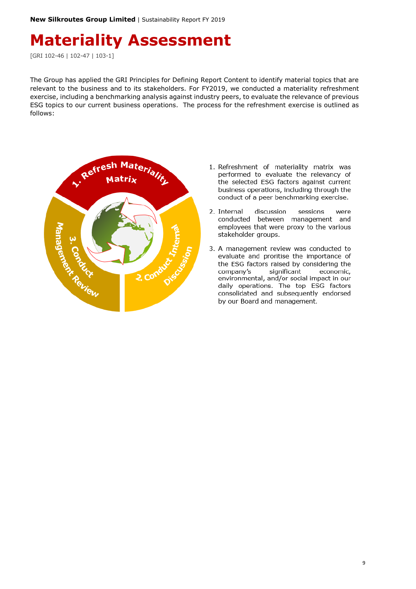## <span id="page-8-0"></span>**Materiality Assessment**

[GRI 102-46 | 102-47 | 103-1]

The Group has applied the GRI Principles for Defining Report Content to identify material topics that are relevant to the business and to its stakeholders. For FY2019, we conducted a materiality refreshment exercise, including a benchmarking analysis against industry peers, to evaluate the relevance of previous ESG topics to our current business operations. The process for the refreshment exercise is outlined as follows:



- 1. Refreshment of materiality matrix was performed to evaluate the relevancy of the selected ESG factors against current business operations, including through the conduct of a peer benchmarking exercise.
- 2. Internal discussion sessions were conducted between management and employees that were proxy to the various stakeholder groups.
- 3. A management review was conducted to evaluate and proritise the importance of the ESG factors raised by considering the economic, company's significant environmental, and/or social impact in our daily operations. The top ESG factors consolidated and subsequently endorsed by our Board and management.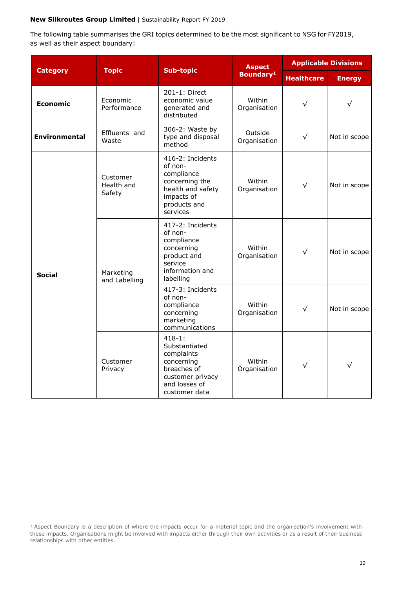The following table summarises the GRI topics determined to be the most significant to NSG for FY2019, as well as their aspect boundary:

|                      |                                  |                                                                                                                              | <b>Aspect</b>           | <b>Applicable Divisions</b> |               |
|----------------------|----------------------------------|------------------------------------------------------------------------------------------------------------------------------|-------------------------|-----------------------------|---------------|
| <b>Category</b>      | <b>Topic</b><br><b>Sub-topic</b> |                                                                                                                              | Boundary <sup>1</sup>   | <b>Healthcare</b>           | <b>Energy</b> |
| <b>Economic</b>      | Economic<br>Performance          | 201-1: Direct<br>economic value<br>generated and<br>distributed                                                              | Within<br>Organisation  | $\sqrt{}$                   | $\sqrt{}$     |
| <b>Environmental</b> | Effluents and<br>Waste           | 306-2: Waste by<br>type and disposal<br>method                                                                               | Outside<br>Organisation | $\sqrt{ }$                  | Not in scope  |
| <b>Social</b>        | Customer<br>Health and<br>Safety | 416-2: Incidents<br>of non-<br>compliance<br>concerning the<br>health and safety<br>impacts of<br>products and<br>services   | Within<br>Organisation  | $\sqrt{}$                   | Not in scope  |
|                      | Marketing<br>and Labelling       | 417-2: Incidents<br>of non-<br>compliance<br>concerning<br>product and<br>service<br>information and<br>labelling            | Within<br>Organisation  | $\sqrt{}$                   | Not in scope  |
|                      |                                  | 417-3: Incidents<br>of non-<br>compliance<br>concerning<br>marketing<br>communications                                       | Within<br>Organisation  | $\sqrt{}$                   | Not in scope  |
|                      | Customer<br>Privacy              | $418 - 1:$<br>Substantiated<br>complaints<br>concerning<br>breaches of<br>customer privacy<br>and losses of<br>customer data | Within<br>Organisation  | $\sqrt{}$                   | $\sqrt{}$     |

-

<sup>1</sup> Aspect Boundary is a description of where the impacts occur for a material topic and the organisation's involvement with those impacts. Organisations might be involved with impacts either through their own activities or as a result of their business relationships with other entities.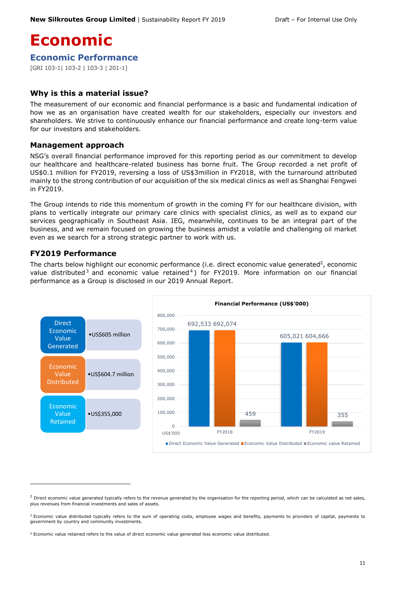## <span id="page-10-0"></span>**Economic**

<span id="page-10-1"></span>**Economic Performance**

[GRI 103-1| 103-2 | 103-3 | 201-1]

### **Why is this a material issue?**

The measurement of our economic and financial performance is a basic and fundamental indication of how we as an organisation have created wealth for our stakeholders, especially our investors and shareholders. We strive to continuously enhance our financial performance and create long-term value for our investors and stakeholders.

#### **Management approach**

NSG's overall financial performance improved for this reporting period as our commitment to develop our healthcare and healthcare-related business has borne fruit. The Group recorded a net profit of US\$0.1 million for FY2019, reversing a loss of US\$3million in FY2018, with the turnaround attributed mainly to the strong contribution of our acquisition of the six medical clinics as well as Shanghai Fengwei in FY2019.

The Group intends to ride this momentum of growth in the coming FY for our healthcare division, with plans to vertically integrate our primary care clinics with specialist clinics, as well as to expand our services geographically in Southeast Asia. IEG, meanwhile, continues to be an integral part of the business, and we remain focused on growing the business amidst a volatile and challenging oil market even as we search for a strong strategic partner to work with us.

### **FY2019 Performance**

-

The charts below highlight our economic performance (i.e. direct economic value generated<sup>2</sup>, economic value distributed<sup>3</sup> and economic value retained<sup>4</sup>) for FY2019. More information on our financial performance as a Group is disclosed in our 2019 Annual Report.



 $^2$  Direct economic value generated typically refers to the revenue generated by the organisation for the reporting period, which can be calculated as net sales, plus revenues from financial investments and sales of assets.

<sup>&</sup>lt;sup>3</sup> Economic value distributed typically refers to the sum of operating costs, employee wages and benefits, payments to providers of capital, payments to government by country and community investments.

<sup>4</sup> Economic value retained refers to the value of direct economic value generated less economic value distributed.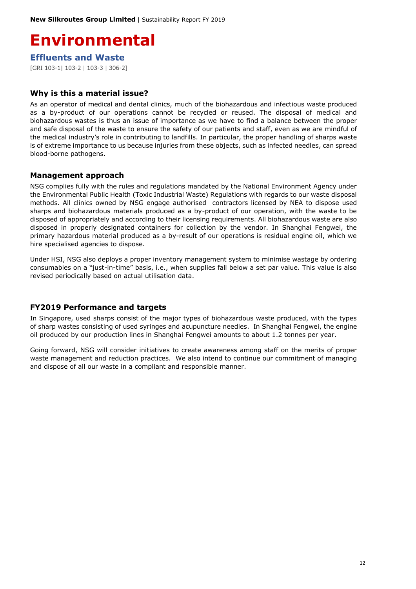## <span id="page-11-0"></span>**Environmental**

<span id="page-11-1"></span>**Effluents and Waste**

[GRI 103-1| 103-2 | 103-3 | 306-2]

### **Why is this a material issue?**

As an operator of medical and dental clinics, much of the biohazardous and infectious waste produced as a by-product of our operations cannot be recycled or reused. The disposal of medical and biohazardous wastes is thus an issue of importance as we have to find a balance between the proper and safe disposal of the waste to ensure the safety of our patients and staff, even as we are mindful of the medical industry's role in contributing to landfills. In particular, the proper handling of sharps waste is of extreme importance to us because injuries from these objects, such as infected needles, can spread blood-borne pathogens.

### **Management approach**

NSG complies fully with the rules and regulations mandated by the National Environment Agency under the Environmental Public Health (Toxic Industrial Waste) Regulations with regards to our waste disposal methods. All clinics owned by NSG engage authorised contractors licensed by NEA to dispose used sharps and biohazardous materials produced as a by-product of our operation, with the waste to be disposed of appropriately and according to their licensing requirements. All biohazardous waste are also disposed in properly designated containers for collection by the vendor. In Shanghai Fengwei, the primary hazardous material produced as a by-result of our operations is residual engine oil, which we hire specialised agencies to dispose.

Under HSI, NSG also deploys a proper inventory management system to minimise wastage by ordering consumables on a "just-in-time" basis, i.e., when supplies fall below a set par value. This value is also revised periodically based on actual utilisation data.

### **FY2019 Performance and targets**

In Singapore, used sharps consist of the major types of biohazardous waste produced, with the types of sharp wastes consisting of used syringes and acupuncture needles. In Shanghai Fengwei, the engine oil produced by our production lines in Shanghai Fengwei amounts to about 1.2 tonnes per year.

Going forward, NSG will consider initiatives to create awareness among staff on the merits of proper waste management and reduction practices. We also intend to continue our commitment of managing and dispose of all our waste in a compliant and responsible manner.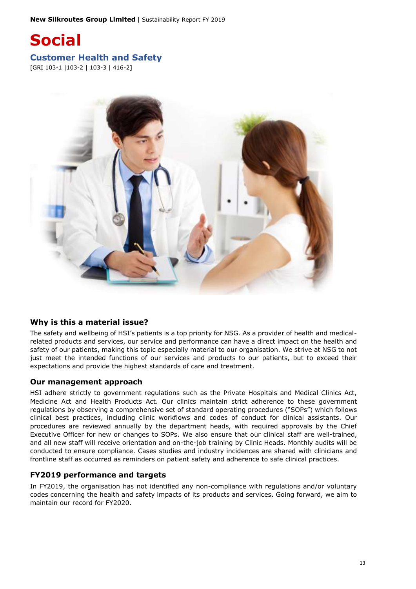<span id="page-12-1"></span><span id="page-12-0"></span>

### **Why is this a material issue?**

The safety and wellbeing of HSI's patients is a top priority for NSG. As a provider of health and medicalrelated products and services, our service and performance can have a direct impact on the health and safety of our patients, making this topic especially material to our organisation. We strive at NSG to not just meet the intended functions of our services and products to our patients, but to exceed their expectations and provide the highest standards of care and treatment.

#### **Our management approach**

HSI adhere strictly to government regulations such as the Private Hospitals and Medical Clinics Act, Medicine Act and Health Products Act. Our clinics maintain strict adherence to these government regulations by observing a comprehensive set of standard operating procedures ("SOPs") which follows clinical best practices, including clinic workflows and codes of conduct for clinical assistants. Our procedures are reviewed annually by the department heads, with required approvals by the Chief Executive Officer for new or changes to SOPs. We also ensure that our clinical staff are well-trained, and all new staff will receive orientation and on-the-job training by Clinic Heads. Monthly audits will be conducted to ensure compliance. Cases studies and industry incidences are shared with clinicians and frontline staff as occurred as reminders on patient safety and adherence to safe clinical practices.

#### **FY2019 performance and targets**

In FY2019, the organisation has not identified any non-compliance with regulations and/or voluntary codes concerning the health and safety impacts of its products and services. Going forward, we aim to maintain our record for FY2020.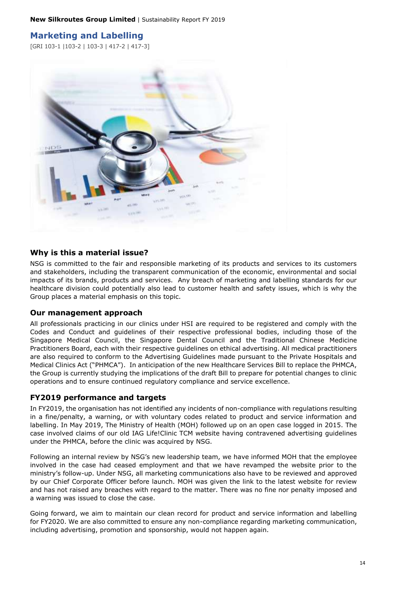## <span id="page-13-0"></span>**Marketing and Labelling**

[GRI 103-1 |103-2 | 103-3 | 417-2 | 417-3]



#### **Why is this a material issue?**

NSG is committed to the fair and responsible marketing of its products and services to its customers and stakeholders, including the transparent communication of the economic, environmental and social impacts of its brands, products and services. Any breach of marketing and labelling standards for our healthcare division could potentially also lead to customer health and safety issues, which is why the Group places a material emphasis on this topic.

#### **Our management approach**

All professionals practicing in our clinics under HSI are required to be registered and comply with the Codes and Conduct and guidelines of their respective professional bodies, including those of the Singapore Medical Council, the Singapore Dental Council and the Traditional Chinese Medicine Practitioners Board, each with their respective guidelines on ethical advertising. All medical practitioners are also required to conform to the Advertising Guidelines made pursuant to the Private Hospitals and Medical Clinics Act ("PHMCA"). In anticipation of the new Healthcare Services Bill to replace the PHMCA, the Group is currently studying the implications of the draft Bill to prepare for potential changes to clinic operations and to ensure continued regulatory compliance and service excellence.

#### **FY2019 performance and targets**

In FY2019, the organisation has not identified any incidents of non-compliance with regulations resulting in a fine/penalty, a warning, or with voluntary codes related to product and service information and labelling. In May 2019, The Ministry of Health (MOH) followed up on an open case logged in 2015. The case involved claims of our old IAG Life!Clinic TCM website having contravened advertising guidelines under the PHMCA, before the clinic was acquired by NSG.

Following an internal review by NSG's new leadership team, we have informed MOH that the employee involved in the case had ceased employment and that we have revamped the website prior to the ministry's follow-up. Under NSG, all marketing communications also have to be reviewed and approved by our Chief Corporate Officer before launch. MOH was given the link to the latest website for review and has not raised any breaches with regard to the matter. There was no fine nor penalty imposed and a warning was issued to close the case.

Going forward, we aim to maintain our clean record for product and service information and labelling for FY2020. We are also committed to ensure any non-compliance regarding marketing communication, including advertising, promotion and sponsorship, would not happen again.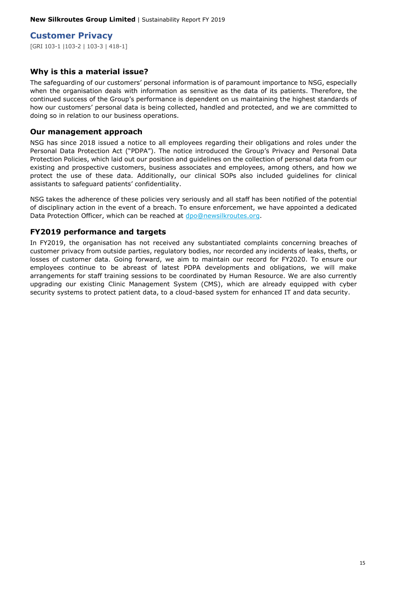### <span id="page-14-0"></span>**Customer Privacy**

[GRI 103-1 |103-2 | 103-3 | 418-1]

#### **Why is this a material issue?**

The safeguarding of our customers' personal information is of paramount importance to NSG, especially when the organisation deals with information as sensitive as the data of its patients. Therefore, the continued success of the Group's performance is dependent on us maintaining the highest standards of how our customers' personal data is being collected, handled and protected, and we are committed to doing so in relation to our business operations.

#### **Our management approach**

NSG has since 2018 issued a notice to all employees regarding their obligations and roles under the Personal Data Protection Act ("PDPA"). The notice introduced the Group's Privacy and Personal Data Protection Policies, which laid out our position and guidelines on the collection of personal data from our existing and prospective customers, business associates and employees, among others, and how we protect the use of these data. Additionally, our clinical SOPs also included guidelines for clinical assistants to safeguard patients' confidentiality.

NSG takes the adherence of these policies very seriously and all staff has been notified of the potential of disciplinary action in the event of a breach. To ensure enforcement, we have appointed a dedicated Data Protection Officer, which can be reached at [dpo@newsilkroutes.org.](mailto:dpo@newsilkroutes.org)

#### **FY2019 performance and targets**

In FY2019, the organisation has not received any substantiated complaints concerning breaches of customer privacy from outside parties, regulatory bodies, nor recorded any incidents of leaks, thefts, or losses of customer data. Going forward, we aim to maintain our record for FY2020. To ensure our employees continue to be abreast of latest PDPA developments and obligations, we will make arrangements for staff training sessions to be coordinated by Human Resource. We are also currently upgrading our existing Clinic Management System (CMS), which are already equipped with cyber security systems to protect patient data, to a cloud-based system for enhanced IT and data security.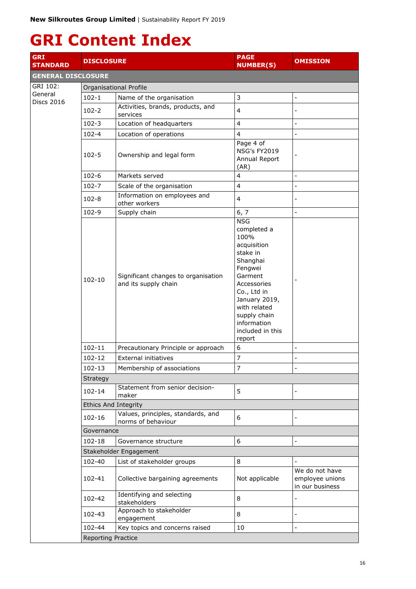## <span id="page-15-0"></span>**GRI Content Index**

| <b>GRI</b><br><b>STANDARD</b>            | <b>DISCLOSURE</b>           |                                                             | <b>PAGE</b><br><b>NUMBER(S)</b>                                                                                                                                                                                            | <b>OMISSION</b>                                      |  |  |
|------------------------------------------|-----------------------------|-------------------------------------------------------------|----------------------------------------------------------------------------------------------------------------------------------------------------------------------------------------------------------------------------|------------------------------------------------------|--|--|
| <b>GENERAL DISCLOSURE</b>                |                             |                                                             |                                                                                                                                                                                                                            |                                                      |  |  |
| GRI 102:<br>General<br><b>Discs 2016</b> | Organisational Profile      |                                                             |                                                                                                                                                                                                                            |                                                      |  |  |
|                                          | $102 - 1$                   | Name of the organisation                                    | 3                                                                                                                                                                                                                          | $\overline{a}$                                       |  |  |
|                                          | $102 - 2$                   | Activities, brands, products, and<br>services               | 4                                                                                                                                                                                                                          | $\overline{a}$                                       |  |  |
|                                          | $102 - 3$                   | Location of headquarters                                    | $\overline{4}$                                                                                                                                                                                                             | $\overline{a}$                                       |  |  |
|                                          | $102 - 4$                   | Location of operations                                      | 4                                                                                                                                                                                                                          | $\overline{a}$                                       |  |  |
|                                          | $102 - 5$                   | Ownership and legal form                                    | Page 4 of<br><b>NSG's FY2019</b><br>Annual Report<br>(AR)                                                                                                                                                                  |                                                      |  |  |
|                                          | $102 - 6$                   | Markets served                                              | 4                                                                                                                                                                                                                          | $\overline{a}$                                       |  |  |
|                                          | $102 - 7$                   | Scale of the organisation                                   | 4                                                                                                                                                                                                                          | $\overline{a}$                                       |  |  |
|                                          | $102 - 8$                   | Information on employees and<br>other workers               | 4                                                                                                                                                                                                                          | $\overline{a}$                                       |  |  |
|                                          | 102-9                       | Supply chain                                                | 6, 7                                                                                                                                                                                                                       | $\overline{a}$                                       |  |  |
|                                          | $102 - 10$                  | Significant changes to organisation<br>and its supply chain | <b>NSG</b><br>completed a<br>100%<br>acquisition<br>stake in<br>Shanghai<br>Fengwei<br>Garment<br>Accessories<br>Co., Ltd in<br>January 2019,<br>with related<br>supply chain<br>information<br>included in this<br>report |                                                      |  |  |
|                                          | $102 - 11$                  | Precautionary Principle or approach                         | 6                                                                                                                                                                                                                          | $\overline{a}$                                       |  |  |
|                                          | 102-12                      | External initiatives                                        | 7                                                                                                                                                                                                                          | $\overline{a}$                                       |  |  |
|                                          | 102-13                      | Membership of associations                                  | 7                                                                                                                                                                                                                          |                                                      |  |  |
|                                          | Strategy                    |                                                             |                                                                                                                                                                                                                            |                                                      |  |  |
|                                          | 102-14                      | Statement from senior decision-<br>maker                    | 5                                                                                                                                                                                                                          | $\overline{a}$                                       |  |  |
|                                          | <b>Ethics And Integrity</b> |                                                             |                                                                                                                                                                                                                            |                                                      |  |  |
|                                          | 102-16                      | Values, principles, standards, and<br>norms of behaviour    | 6                                                                                                                                                                                                                          | -                                                    |  |  |
|                                          | Governance                  |                                                             |                                                                                                                                                                                                                            |                                                      |  |  |
|                                          | 102-18                      | Governance structure                                        | 6                                                                                                                                                                                                                          | $\overline{\phantom{0}}$                             |  |  |
|                                          | Stakeholder Engagement      |                                                             |                                                                                                                                                                                                                            |                                                      |  |  |
|                                          | 102-40                      | List of stakeholder groups                                  | 8                                                                                                                                                                                                                          | $\qquad \qquad -$                                    |  |  |
|                                          | 102-41                      | Collective bargaining agreements                            | Not applicable                                                                                                                                                                                                             | We do not have<br>employee unions<br>in our business |  |  |
|                                          | 102-42                      | Identifying and selecting<br>stakeholders                   | 8                                                                                                                                                                                                                          | -                                                    |  |  |
|                                          | 102-43                      | Approach to stakeholder<br>engagement                       | 8                                                                                                                                                                                                                          |                                                      |  |  |
|                                          | 102-44                      | Key topics and concerns raised                              | 10                                                                                                                                                                                                                         | $\overline{a}$                                       |  |  |
|                                          | Reporting Practice          |                                                             |                                                                                                                                                                                                                            |                                                      |  |  |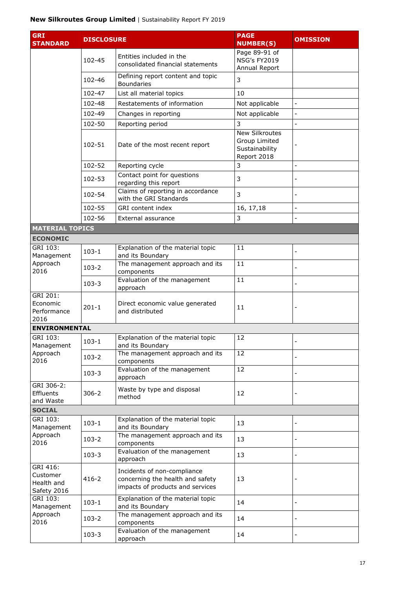| <b>GRI</b><br><b>STANDARD</b>                     | <b>DISCLOSURE</b> |                                                                                                     | <b>PAGE</b><br><b>NUMBER(S)</b>                                         | <b>OMISSION</b> |
|---------------------------------------------------|-------------------|-----------------------------------------------------------------------------------------------------|-------------------------------------------------------------------------|-----------------|
|                                                   |                   |                                                                                                     | Page 89-91 of                                                           |                 |
|                                                   | 102-45            | Entities included in the<br>consolidated financial statements                                       | <b>NSG's FY2019</b><br>Annual Report                                    |                 |
|                                                   | 102-46            | Defining report content and topic<br><b>Boundaries</b>                                              | 3                                                                       |                 |
|                                                   | 102-47            | List all material topics                                                                            | 10                                                                      |                 |
|                                                   | 102-48            | Restatements of information                                                                         | Not applicable                                                          | $\frac{1}{2}$   |
|                                                   | 102-49            | Changes in reporting                                                                                | Not applicable                                                          | $\overline{a}$  |
|                                                   | 102-50            | Reporting period                                                                                    | 3                                                                       |                 |
|                                                   | 102-51            | Date of the most recent report                                                                      | <b>New Silkroutes</b><br>Group Limited<br>Sustainability<br>Report 2018 |                 |
|                                                   | 102-52            | Reporting cycle                                                                                     | 3                                                                       | $\overline{a}$  |
|                                                   | 102-53            | Contact point for questions<br>regarding this report                                                | 3                                                                       |                 |
|                                                   | 102-54            | Claims of reporting in accordance<br>with the GRI Standards                                         | 3                                                                       |                 |
|                                                   | 102-55            | GRI content index                                                                                   | 16, 17, 18                                                              | $\overline{a}$  |
|                                                   | 102-56            | External assurance                                                                                  | 3                                                                       | $\overline{a}$  |
| <b>MATERIAL TOPICS</b>                            |                   |                                                                                                     |                                                                         |                 |
| <b>ECONOMIC</b>                                   |                   |                                                                                                     |                                                                         |                 |
| GRI 103:<br>Management<br>Approach<br>2016        | $103 - 1$         | Explanation of the material topic<br>and its Boundary                                               | 11                                                                      |                 |
|                                                   | $103 - 2$         | The management approach and its<br>components                                                       | 11                                                                      | $\overline{a}$  |
|                                                   | $103 - 3$         | Evaluation of the management<br>approach                                                            | $\overline{11}$                                                         | -               |
| GRI 201:<br>Economic<br>Performance<br>2016       | $201 - 1$         | Direct economic value generated<br>and distributed                                                  | 11                                                                      |                 |
| <b>ENVIRONMENTAL</b>                              |                   |                                                                                                     |                                                                         |                 |
| GRI 103:<br>Management                            | $103 - 1$         | Explanation of the material topic<br>and its Boundary                                               | 12                                                                      |                 |
| Approach<br>2016                                  | $103 - 2$         | The management approach and its<br>components                                                       | 12                                                                      |                 |
|                                                   | $103 - 3$         | Evaluation of the management<br>approach                                                            | 12                                                                      |                 |
| GRI 306-2:<br>Effluents<br>and Waste              | $306 - 2$         | Waste by type and disposal<br>method                                                                | 12                                                                      |                 |
| <b>SOCIAL</b>                                     |                   |                                                                                                     |                                                                         |                 |
| GRI 103:<br>Management                            | $103 - 1$         | Explanation of the material topic<br>and its Boundary                                               | 13                                                                      |                 |
| Approach<br>2016                                  | $103 - 2$         | The management approach and its<br>components                                                       | 13                                                                      |                 |
|                                                   | $103 - 3$         | Evaluation of the management<br>approach                                                            | 13                                                                      | $\overline{a}$  |
| GRI 416:<br>Customer<br>Health and<br>Safety 2016 | $416 - 2$         | Incidents of non-compliance<br>concerning the health and safety<br>impacts of products and services | 13                                                                      |                 |
| GRI 103:<br>Management                            | $103 - 1$         | Explanation of the material topic<br>and its Boundary                                               | 14                                                                      | -               |
| Approach<br>2016                                  | $103 - 2$         | The management approach and its<br>components                                                       | 14                                                                      |                 |
|                                                   | $103 - 3$         | Evaluation of the management<br>approach                                                            | 14                                                                      | -               |